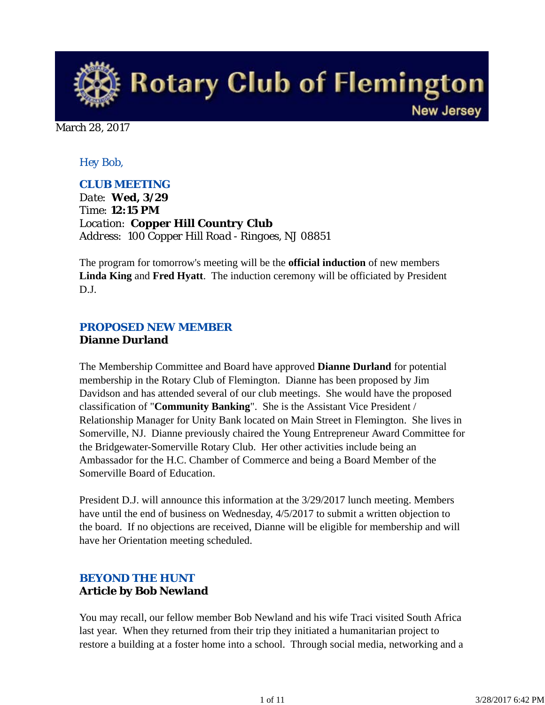

March 28, 2017

#### *Hey Bob,*

#### *CLUB MEETING*

*Date: Wed, 3/29 Time: 12:15 PM Location: Copper Hill Country Club Address: 100 Copper Hill Road - Ringoes, NJ 08851*

The program for tomorrow's meeting will be the **official induction** of new members **Linda King** and **Fred Hyatt**. The induction ceremony will be officiated by President D.J.

### *PROPOSED NEW MEMBER* **Dianne Durland**

The Membership Committee and Board have approved **Dianne Durland** for potential membership in the Rotary Club of Flemington. Dianne has been proposed by Jim Davidson and has attended several of our club meetings. She would have the proposed classification of "**Community Banking**". She is the Assistant Vice President / Relationship Manager for Unity Bank located on Main Street in Flemington. She lives in Somerville, NJ. Dianne previously chaired the Young Entrepreneur Award Committee for the Bridgewater-Somerville Rotary Club. Her other activities include being an Ambassador for the H.C. Chamber of Commerce and being a Board Member of the Somerville Board of Education.

President D.J. will announce this information at the 3/29/2017 lunch meeting. Members have until the end of business on Wednesday, 4/5/2017 to submit a written objection to the board. If no objections are received, Dianne will be eligible for membership and will have her Orientation meeting scheduled.

### *BEYOND THE HUNT* **Article by Bob Newland**

You may recall, our fellow member Bob Newland and his wife Traci visited South Africa last year. When they returned from their trip they initiated a humanitarian project to restore a building at a foster home into a school. Through social media, networking and a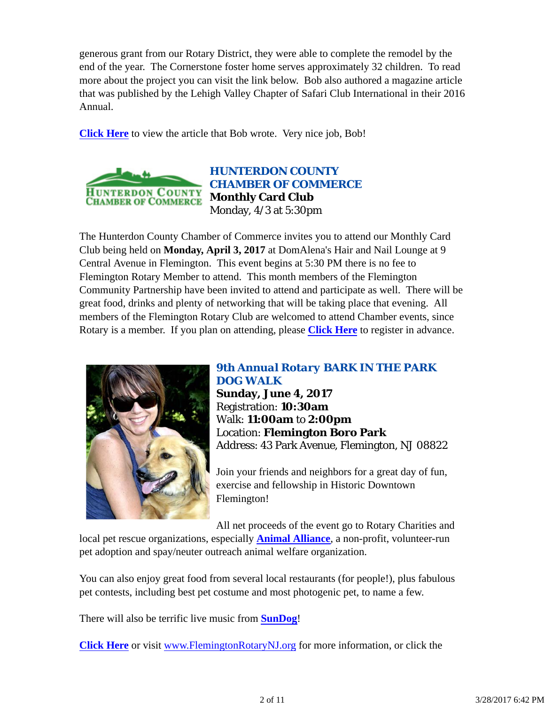generous grant from our Rotary District, they were able to complete the remodel by the end of the year. The Cornerstone foster home serves approximately 32 children. To read more about the project you can visit the link below. Bob also authored a magazine article that was published by the Lehigh Valley Chapter of Safari Club International in their 2016 Annual.

**Click Here** to view the article that Bob wrote. Very nice job, Bob!



*HUNTERDON COUNTY CHAMBER OF COMMERCE* **Monthly Card Club** Monday, 4/3 at 5:30pm

The Hunterdon County Chamber of Commerce invites you to attend our Monthly Card Club being held on **Monday, April 3, 2017** at DomAlena's Hair and Nail Lounge at 9 Central Avenue in Flemington. This event begins at 5:30 PM there is no fee to Flemington Rotary Member to attend. This month members of the Flemington Community Partnership have been invited to attend and participate as well. There will be great food, drinks and plenty of networking that will be taking place that evening. All members of the Flemington Rotary Club are welcomed to attend Chamber events, since Rotary is a member. If you plan on attending, please **Click Here** to register in advance.



#### *9th Annual Rotary BARK IN THE PARK DOG WALK*

**Sunday, June 4, 2017** Registration: **10:30am** Walk: **11:00am** to **2:00pm** Location: **Flemington Boro Park** Address: 43 Park Avenue, Flemington, NJ 08822

Join your friends and neighbors for a great day of fun, exercise and fellowship in Historic Downtown Flemington!

All net proceeds of the event go to Rotary Charities and local pet rescue organizations, especially **Animal Alliance**, a non-profit, volunteer-run pet adoption and spay/neuter outreach animal welfare organization.

You can also enjoy great food from several local restaurants (for people!), plus fabulous pet contests, including best pet costume and most photogenic pet, to name a few.

There will also be terrific live music from **SunDog**!

**Click Here** or visit www.FlemingtonRotaryNJ.org for more information, or click the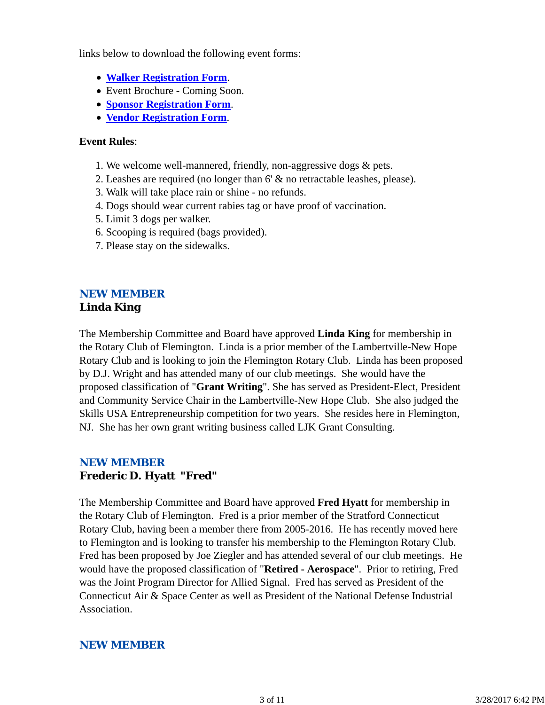links below to download the following event forms:

- **Walker Registration Form**.
- Event Brochure Coming Soon.
- **Sponsor Registration Form**.
- **Vendor Registration Form**.

#### **Event Rules**:

- 1. We welcome well-mannered, friendly, non-aggressive dogs & pets.
- 2. Leashes are required (no longer than 6' & no retractable leashes, please).
- 3. Walk will take place rain or shine no refunds.
- 4. Dogs should wear current rabies tag or have proof of vaccination.
- 5. Limit 3 dogs per walker.
- 6. Scooping is required (bags provided).
- 7. Please stay on the sidewalks.

#### *NEW MEMBER* **Linda King**

The Membership Committee and Board have approved **Linda King** for membership in the Rotary Club of Flemington. Linda is a prior member of the Lambertville-New Hope Rotary Club and is looking to join the Flemington Rotary Club. Linda has been proposed by D.J. Wright and has attended many of our club meetings. She would have the proposed classification of "**Grant Writing**". She has served as President-Elect, President and Community Service Chair in the Lambertville-New Hope Club. She also judged the Skills USA Entrepreneurship competition for two years. She resides here in Flemington, NJ. She has her own grant writing business called LJK Grant Consulting.

### *NEW MEMBER* **Frederic D. Hyatt "Fred"**

The Membership Committee and Board have approved **Fred Hyatt** for membership in the Rotary Club of Flemington. Fred is a prior member of the Stratford Connecticut Rotary Club, having been a member there from 2005-2016. He has recently moved here to Flemington and is looking to transfer his membership to the Flemington Rotary Club. Fred has been proposed by Joe Ziegler and has attended several of our club meetings. He would have the proposed classification of "**Retired - Aerospace**". Prior to retiring, Fred was the Joint Program Director for Allied Signal. Fred has served as President of the Connecticut Air & Space Center as well as President of the National Defense Industrial Association.

### *NEW MEMBER*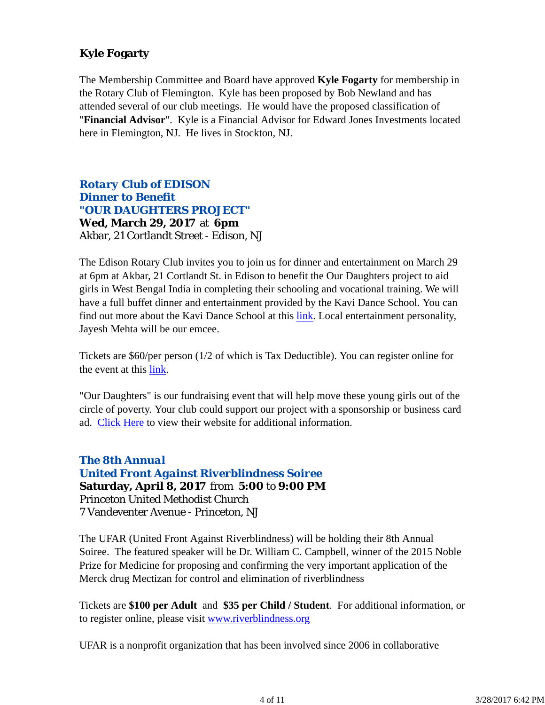## **Kyle Fogarty**

The Membership Committee and Board have approved **Kyle Fogarty** for membership in the Rotary Club of Flemington. Kyle has been proposed by Bob Newland and has attended several of our club meetings. He would have the proposed classification of "**Financial Advisor**". Kyle is a Financial Advisor for Edward Jones Investments located here in Flemington, NJ. He lives in Stockton, NJ.

## *Rotary Club of EDISON Dinner to Benefit "OUR DAUGHTERS PROJECT"*

**Wed, March 29, 2017** at **6pm** Akbar, 21 Cortlandt Street - Edison, NJ

The Edison Rotary Club invites you to join us for dinner and entertainment on March 29 at 6pm at Akbar, 21 Cortlandt St. in Edison to benefit the Our Daughters project to aid girls in West Bengal India in completing their schooling and vocational training. We will have a full buffet dinner and entertainment provided by the Kavi Dance School. You can find out more about the Kavi Dance School at this link. Local entertainment personality, Jayesh Mehta will be our emcee.

Tickets are \$60/per person (1/2 of which is Tax Deductible). You can register online for the event at this link.

"Our Daughters" is our fundraising event that will help move these young girls out of the circle of poverty. Your club could support our project with a sponsorship or business card ad. Click Here to view their website for additional information.

### *The 8th Annual United Front Against Riverblindness Soiree* **Saturday, April 8, 2017** from **5:00** to **9:00 PM** Princeton United Methodist Church 7 Vandeventer Avenue - Princeton, NJ

The UFAR (United Front Against Riverblindness) will be holding their 8th Annual Soiree. The featured speaker will be Dr. William C. Campbell, winner of the 2015 Noble Prize for Medicine for proposing and confirming the very important application of the Merck drug Mectizan for control and elimination of riverblindness

Tickets are **\$100 per Adult** and **\$35 per Child / Student**. For additional information, or to register online, please visit www.riverblindness.org

UFAR is a nonprofit organization that has been involved since 2006 in collaborative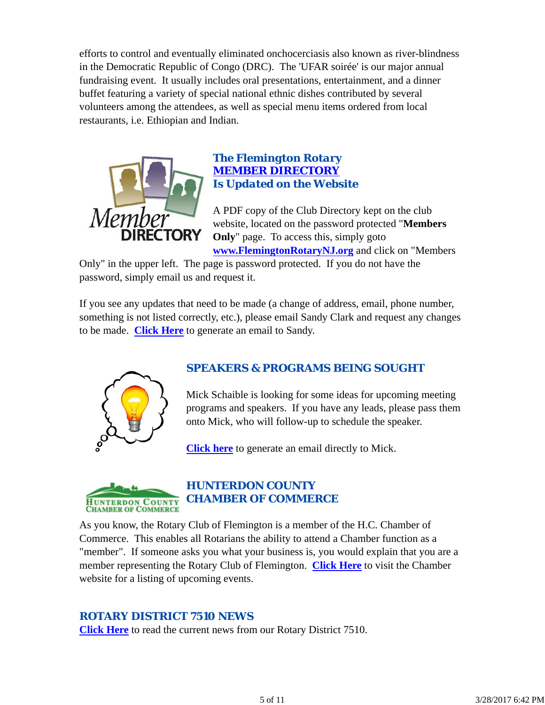efforts to control and eventually eliminated onchocerciasis also known as river-blindness in the Democratic Republic of Congo (DRC). The 'UFAR soirée' is our major annual fundraising event. It usually includes oral presentations, entertainment, and a dinner buffet featuring a variety of special national ethnic dishes contributed by several volunteers among the attendees, as well as special menu items ordered from local restaurants, i.e. Ethiopian and Indian.



#### *The Flemington Rotary MEMBER DIRECTORY Is Updated on the Website*

A PDF copy of the Club Directory kept on the club website, located on the password protected "**Members Only**" page. To access this, simply goto **www.FlemingtonRotaryNJ.org** and click on "Members

Only" in the upper left. The page is password protected. If you do not have the password, simply email us and request it.

If you see any updates that need to be made (a change of address, email, phone number, something is not listed correctly, etc.), please email Sandy Clark and request any changes to be made. **Click Here** to generate an email to Sandy.



## *SPEAKERS & PROGRAMS BEING SOUGHT*

Mick Schaible is looking for some ideas for upcoming meeting programs and speakers. If you have any leads, please pass them onto Mick, who will follow-up to schedule the speaker.

**Click here** to generate an email directly to Mick.



## *HUNTERDON COUNTY CHAMBER OF COMMERCE*

As you know, the Rotary Club of Flemington is a member of the H.C. Chamber of Commerce. This enables all Rotarians the ability to attend a Chamber function as a "member". If someone asks you what your business is, you would explain that you are a member representing the Rotary Club of Flemington. **Click Here** to visit the Chamber website for a listing of upcoming events.

### *ROTARY DISTRICT 7510 NEWS*

**Click Here** to read the current news from our Rotary District 7510.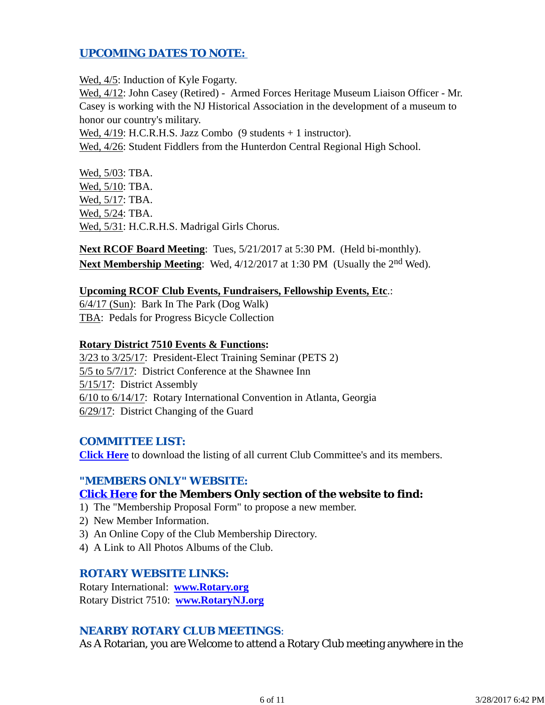### *UPCOMING DATES TO NOTE:*

Wed,  $4/5$ : Induction of Kyle Fogarty.

Wed, 4/12: John Casey (Retired) - Armed Forces Heritage Museum Liaison Officer - Mr. Casey is working with the NJ Historical Association in the development of a museum to honor our country's military.

Wed,  $4/19$ : H.C.R.H.S. Jazz Combo (9 students + 1 instructor).

Wed,  $4/26$ : Student Fiddlers from the Hunterdon Central Regional High School.

Wed, 5/03: TBA. Wed, 5/10: TBA. Wed, 5/17: TBA. Wed, 5/24: TBA. Wed, 5/31: H.C.R.H.S. Madrigal Girls Chorus.

**Next RCOF Board Meeting**: Tues, 5/21/2017 at 5:30 PM. (Held bi-monthly). **Next Membership Meeting:** Wed, 4/12/2017 at 1:30 PM (Usually the 2<sup>nd</sup> Wed).

#### **Upcoming RCOF Club Events, Fundraisers, Fellowship Events, Etc**.:

6/4/17 (Sun): Bark In The Park (Dog Walk) TBA: Pedals for Progress Bicycle Collection

#### **Rotary District 7510 Events & Functions:**

3/23 to 3/25/17: President-Elect Training Seminar (PETS 2) 5/5 to 5/7/17: District Conference at the Shawnee Inn 5/15/17: District Assembly 6/10 to 6/14/17: Rotary International Convention in Atlanta, Georgia 6/29/17: District Changing of the Guard

#### *COMMITTEE LIST:*

**Click Here** to download the listing of all current Club Committee's and its members.

#### *"MEMBERS ONLY" WEBSITE:*

#### **Click Here for the Members Only section of the website to find:**

- 1) The "Membership Proposal Form" to propose a new member.
- 2) New Member Information.
- 3) An Online Copy of the Club Membership Directory.
- 4) A Link to All Photos Albums of the Club.

#### *ROTARY WEBSITE LINKS:*

Rotary International: **www.Rotary.org** Rotary District 7510: **www.RotaryNJ.org**

#### *NEARBY ROTARY CLUB MEETINGS:*

As A Rotarian, you are Welcome to attend a Rotary Club meeting anywhere in the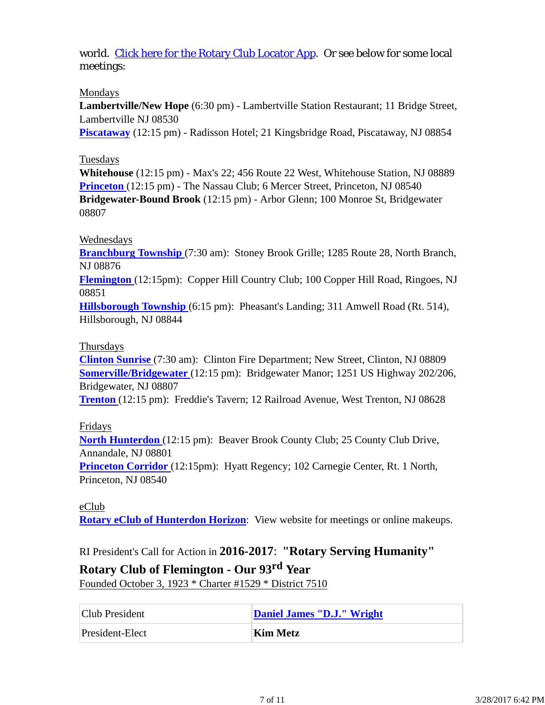world. Click here for the Rotary Club Locator App. Or see below for some local meetings:

#### Mondays

**Lambertville/New Hope** (6:30 pm) - Lambertville Station Restaurant; 11 Bridge Street, Lambertville NJ 08530

**Piscataway** (12:15 pm) - Radisson Hotel; 21 Kingsbridge Road, Piscataway, NJ 08854

### Tuesdays

**Whitehouse** (12:15 pm) - Max's 22; 456 Route 22 West, Whitehouse Station, NJ 08889 **Princeton** (12:15 pm) - The Nassau Club; 6 Mercer Street, Princeton, NJ 08540 **Bridgewater-Bound Brook** (12:15 pm) - Arbor Glenn; 100 Monroe St, Bridgewater 08807

### Wednesdays

**Branchburg Township** (7:30 am): Stoney Brook Grille; 1285 Route 28, North Branch, NJ 08876

**Flemington** (12:15pm): Copper Hill Country Club; 100 Copper Hill Road, Ringoes, NJ 08851

**Hillsborough Township** (6:15 pm): Pheasant's Landing; 311 Amwell Road (Rt. 514), Hillsborough, NJ 08844

#### Thursdays

**Clinton Sunrise** (7:30 am): Clinton Fire Department; New Street, Clinton, NJ 08809 **Somerville/Bridgewater** (12:15 pm): Bridgewater Manor; 1251 US Highway 202/206, Bridgewater, NJ 08807

**Trenton** (12:15 pm): Freddie's Tavern; 12 Railroad Avenue, West Trenton, NJ 08628

### Fridays

**North Hunterdon** (12:15 pm): Beaver Brook County Club; 25 County Club Drive, Annandale, NJ 08801

**Princeton Corridor** (12:15pm): Hyatt Regency; 102 Carnegie Center, Rt. 1 North, Princeton, NJ 08540

eClub **Rotary eClub of Hunterdon Horizon**: View website for meetings or online makeups.

RI President's Call for Action in **2016-2017**: **"Rotary Serving Humanity"**

## **Rotary Club of Flemington - Our 93rd Year**

Founded October 3, 1923 \* Charter #1529 \* District 7510

| Club President  | Daniel James "D.J." Wright |
|-----------------|----------------------------|
| President-Elect | Kim Metz                   |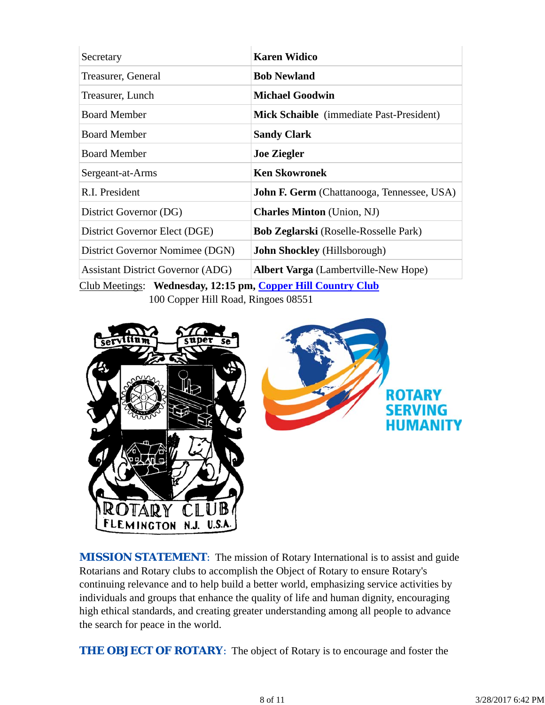| Secretary                                                | <b>Karen Widico</b>                               |  |  |
|----------------------------------------------------------|---------------------------------------------------|--|--|
| Treasurer, General                                       | <b>Bob Newland</b>                                |  |  |
| Treasurer, Lunch                                         | <b>Michael Goodwin</b>                            |  |  |
| <b>Board Member</b>                                      | Mick Schaible (immediate Past-President)          |  |  |
| <b>Board Member</b>                                      | <b>Sandy Clark</b>                                |  |  |
| <b>Board Member</b>                                      | <b>Joe Ziegler</b>                                |  |  |
| Sergeant-at-Arms                                         | <b>Ken Skowronek</b>                              |  |  |
| R.I. President                                           | <b>John F. Germ</b> (Chattanooga, Tennessee, USA) |  |  |
| District Governor (DG)                                   | <b>Charles Minton</b> (Union, NJ)                 |  |  |
| District Governor Elect (DGE)                            | <b>Bob Zeglarski</b> (Roselle-Rosselle Park)      |  |  |
| District Governor Nomimee (DGN)                          | <b>John Shockley</b> (Hillsborough)               |  |  |
| <b>Assistant District Governor (ADG)</b>                 | <b>Albert Varga</b> (Lambertville-New Hope)       |  |  |
| $C1 1 M$ $C1 1 M$<br>$\alpha$ $\alpha$ $\alpha$ $\alpha$ |                                                   |  |  |

Club Meetings: **Wednesday, 12:15 pm, Copper Hill Country Club** 100 Copper Hill Road, Ringoes 08551



**MISSION STATEMENT:** The mission of Rotary International is to assist and guide Rotarians and Rotary clubs to accomplish the Object of Rotary to ensure Rotary's continuing relevance and to help build a better world, emphasizing service activities by individuals and groups that enhance the quality of life and human dignity, encouraging high ethical standards, and creating greater understanding among all people to advance the search for peace in the world.

**THE OBJECT OF ROTARY:** The object of Rotary is to encourage and foster the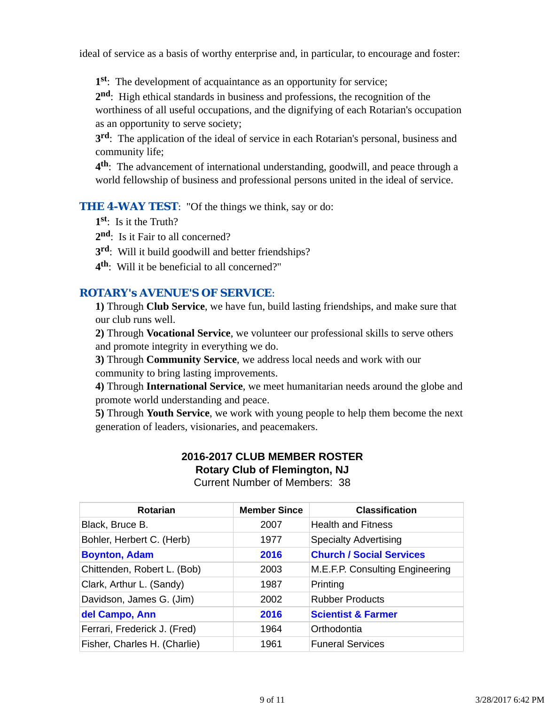ideal of service as a basis of worthy enterprise and, in particular, to encourage and foster:

**1st**: The development of acquaintance as an opportunity for service;

**2nd**: High ethical standards in business and professions, the recognition of the worthiness of all useful occupations, and the dignifying of each Rotarian's occupation as an opportunity to serve society;

**3rd**: The application of the ideal of service in each Rotarian's personal, business and community life;

**4th**: The advancement of international understanding, goodwill, and peace through a world fellowship of business and professional persons united in the ideal of service.

**THE 4-WAY TEST:** "Of the things we think, say or do:

**1st**: Is it the Truth?

2<sup>nd</sup>: Is it Fair to all concerned?

- **3rd**: Will it build goodwill and better friendships?
- **4th**: Will it be beneficial to all concerned?"

## *ROTARY's AVENUE'S OF SERVICE*:

**1)** Through **Club Service**, we have fun, build lasting friendships, and make sure that our club runs well.

**2)** Through **Vocational Service**, we volunteer our professional skills to serve others and promote integrity in everything we do.

**3)** Through **Community Service**, we address local needs and work with our community to bring lasting improvements.

**4)** Through **International Service**, we meet humanitarian needs around the globe and promote world understanding and peace.

**5)** Through **Youth Service**, we work with young people to help them become the next generation of leaders, visionaries, and peacemakers.

# **2016-2017 CLUB MEMBER ROSTER Rotary Club of Flemington, NJ**

Current Number of Members: 38

| Rotarian                     | <b>Member Since</b> | <b>Classification</b>           |
|------------------------------|---------------------|---------------------------------|
| Black, Bruce B.              | 2007                | <b>Health and Fitness</b>       |
| Bohler, Herbert C. (Herb)    | 1977                | <b>Specialty Advertising</b>    |
| <b>Boynton, Adam</b>         | 2016                | <b>Church / Social Services</b> |
| Chittenden, Robert L. (Bob)  | 2003                | M.E.F.P. Consulting Engineering |
| Clark, Arthur L. (Sandy)     | 1987                | Printing                        |
| Davidson, James G. (Jim)     | 2002                | <b>Rubber Products</b>          |
| del Campo, Ann               | 2016                | <b>Scientist &amp; Farmer</b>   |
| Ferrari, Frederick J. (Fred) | 1964                | Orthodontia                     |
| Fisher, Charles H. (Charlie) | 1961                | <b>Funeral Services</b>         |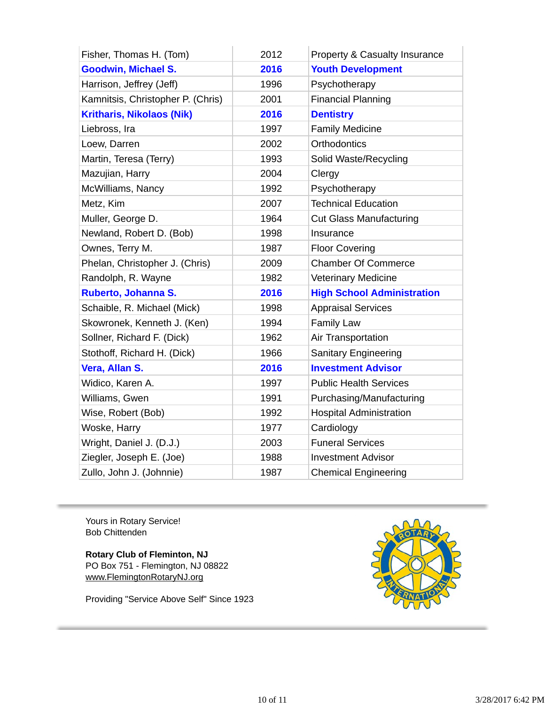| Fisher, Thomas H. (Tom)           | 2012 | <b>Property &amp; Casualty Insurance</b> |
|-----------------------------------|------|------------------------------------------|
| <b>Goodwin, Michael S.</b>        | 2016 | <b>Youth Development</b>                 |
| Harrison, Jeffrey (Jeff)          | 1996 | Psychotherapy                            |
| Kamnitsis, Christopher P. (Chris) | 2001 | <b>Financial Planning</b>                |
| <b>Kritharis, Nikolaos (Nik)</b>  | 2016 | <b>Dentistry</b>                         |
| Liebross, Ira                     | 1997 | <b>Family Medicine</b>                   |
| Loew, Darren                      | 2002 | Orthodontics                             |
| Martin, Teresa (Terry)            | 1993 | Solid Waste/Recycling                    |
| Mazujian, Harry                   | 2004 | Clergy                                   |
| McWilliams, Nancy                 | 1992 | Psychotherapy                            |
| Metz, Kim                         | 2007 | <b>Technical Education</b>               |
| Muller, George D.                 | 1964 | <b>Cut Glass Manufacturing</b>           |
| Newland, Robert D. (Bob)          | 1998 | Insurance                                |
| Ownes, Terry M.                   | 1987 | <b>Floor Covering</b>                    |
| Phelan, Christopher J. (Chris)    | 2009 | <b>Chamber Of Commerce</b>               |
| Randolph, R. Wayne                | 1982 | <b>Veterinary Medicine</b>               |
| <b>Ruberto, Johanna S.</b>        | 2016 | <b>High School Administration</b>        |
| Schaible, R. Michael (Mick)       | 1998 | <b>Appraisal Services</b>                |
| Skowronek, Kenneth J. (Ken)       | 1994 | <b>Family Law</b>                        |
| Sollner, Richard F. (Dick)        | 1962 | Air Transportation                       |
| Stothoff, Richard H. (Dick)       | 1966 | Sanitary Engineering                     |
| Vera, Allan S.                    | 2016 | <b>Investment Advisor</b>                |
| Widico, Karen A.                  | 1997 | <b>Public Health Services</b>            |
| Williams, Gwen                    | 1991 | Purchasing/Manufacturing                 |
| Wise, Robert (Bob)                | 1992 | <b>Hospital Administration</b>           |
| Woske, Harry                      | 1977 | Cardiology                               |
| Wright, Daniel J. (D.J.)          | 2003 | <b>Funeral Services</b>                  |
| Ziegler, Joseph E. (Joe)          | 1988 | <b>Investment Advisor</b>                |
| Zullo, John J. (Johnnie)          | 1987 | <b>Chemical Engineering</b>              |

Yours in Rotary Service! Bob Chittenden

**Rotary Club of Fleminton, NJ** PO Box 751 - Flemington, NJ 08822 www.FlemingtonRotaryNJ.org

Providing "Service Above Self" Since 1923